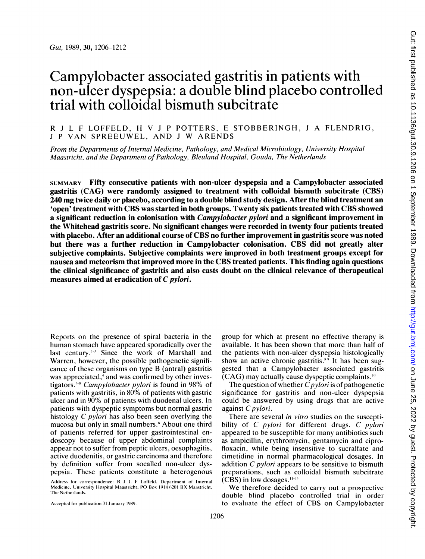# Campylobacter associated gastritis in patients with non-ulcer dyspepsia: a double blind placebo controlled trial with colloidal bismuth subcitrate

R <sup>J</sup> L F LOFFELD, H V <sup>J</sup> <sup>P</sup> POTTERS, E STOBBERINGH, <sup>J</sup> A FLENDRIG, <sup>J</sup> <sup>P</sup> VAN SPREEUWEL, AND <sup>J</sup> W ARENDS

From the Departments of Internal Medicine, Pathology, and Medical Microbiology, University Hospital Maastricht, and the Department of Pathology, Bleuland Hospital, Gouda, The Netherlands

SUMMARY Fifty consecutive patients with non-ulcer dyspepsia and a Campylobacter associated gastritis (CAG) were randomly assigned to treatment with colloidal bismuth subcitrate (CBS) 240 mg twice daily or placebo, according to a double blind study design. After the blind treatment an 'open' treatment with CBS was started in both groups. Twenty six patients treated with CBS showed a significant reduction in colonisation with *Campylobacter pylori* and a significant improvement in the Whitehead gastritis score. No significant changes were recorded in twenty four patients treated with placebo. After an additional course of CBS no further improvement in gastritis score was noted but there was a further reduction in Campylobacter colonisation. CBS did not greatly alter subjective complaints. Subjective complaints were improved in both treatment groups except for nausea and meteorism that improved more in the CBS treated patients. This finding again questions the clinical significance of gastritis and also casts doubt on the clinical relevance of therapeutical measures aimed at eradication of  $C$  *pylori*.

Reports on the presence of spiral bacteria in the human stomach have appeared sporadically over the last century.<sup>1-3</sup> Since the work of Marshall and Warren, however, the possible pathogenetic significance of these organisms on type B (antral) gastritis was appreciated, $4$  and was confirmed by other investigators.<sup>58</sup> Campylobacter pylori is found in 98% of patients with gastritis, in 80% of patients with gastric ulcer and in 90% of patients with duodenal ulcers. In patients with dyspeptic symptoms but normal gastric histology C pylori has also been seen overlying the mucosa but only in small numbers.' About one third of patients referred for upper gastrointestinal endoscopy because of upper abdominal complaints appear not to suffer from peptic ulcers, oesophagitis, active duodenitis, or gastric carcinoma and therefore by definition suffer from socalled non-ulcer dyspepsia. These patients constitute a heterogenous

Address for correspondence: R <sup>J</sup> 1. F Loffeld, Department of Internal Medicine, University Hospital Maastricht, PO Box 1918 6201 BX Maastricht, The Netherlands.

Acceptcd for publication 31 January 1989.

group for which at present no effective therapy is available. It has been shown that more than half of the patients with non-ulcer dyspepsia histologically show an active chronic gastritis.<sup>89</sup> It has been suggested that a Campylobacter associated gastritis (CAG) may actually cause dyspeptic complaints."'

The question of whether  $C$  *pylori* is of pathogenetic significance for gastritis and non-ulcer dyspepsia could be answered by using drugs that are active against C pylori.

There are several in vitro studies on the susceptibility of C *pylori* for different drugs. C *pylori* appeared to be susceptible for many antibiotics such as ampicillin, erythromycin, gentamycin and ciprofloxacin, while being insensitive to sucralfate and cimetidine in normal pharmacological dosages. In addition  $C$  *pylori* appears to be sensitive to bismuth preparations, such as colloidal bismuth subcitrate  $(CBS)$  in low dosages.  $11-15$ 

We therefore decided to carry out <sup>a</sup> prospective double blind placebo controlled trial in order to evaluate the effect of CBS on Campylobacter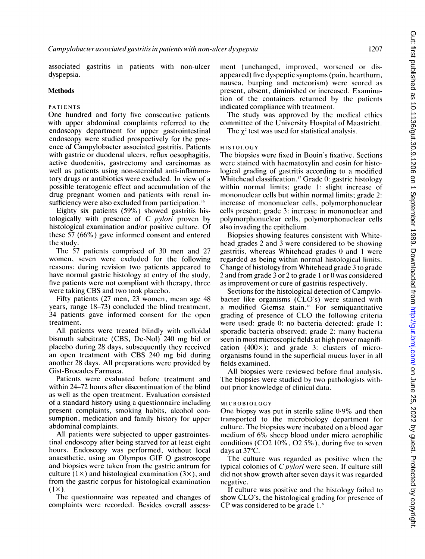associated gastritis in patients with non-ulcer dyspepsia.

## Methods

#### PATIENTS

One hundred and forty five consecutive patients with upper abdominal complaints referred to the endoscopy department for upper gastrointestinal endoscopy were studied prospectively for the presence of Campylobacter associated gastritis. Patients with gastric or duodenal ulcers, reflux oesophagitis, active duodenitis, gastrectomy and carcinomas as well as patients using non-steroidal anti-inflammatory drugs or antibiotics were excluded. In view of a possible teratogenic effect and accumulation of the drug pregnant women and patients with renal insufficiency were also excluded from participation. $\mathfrak{g}$ 

Eighty six patients (59%) showed gastritis histologically with presence of C pylori proven by histological examination and/or positive culture. Of these 57 (66%) gave informed consent and entered the study.

The 57 patients comprised of 30 men and 27 women, seven were excluded for the following reasons: during revision two patients appeared to have normal gastric histology at entry of the study, five patients were not compliant with therapy, three were taking CBS and two took placebo.

Fifty patients (27 men, 23 women, mean age 48 years, range 18-73) concluded the blind treatment, 34 patients gave informed consent for the open treatment.

All patients were treated blindly with colloidal bismuth subcitrate (CBS, De-Nol) 240 mg bid or placebo during 28 days, subsequently they received an open treatment with CBS 240 mg bid during another 28 days. All preparations were provided by Gist-Brocades Farmaca.

Patients were evaluated before treatment and within 24-72 hours after discontinuation of the blind as well as the open treatment. Evaluation consisted of a standard history using a questionnaire including present complaints, smoking habits, alcohol consumption, medication and family history for upper abdominal complaints.

All patients were subjected to upper gastrointestinal endoscopy after being starved for at least eight hours. Endoscopy was performed, without local anaesthetic, using an Olympus GIF Q gastroscope and biopsies were taken from the gastric antrum for culture (1 $\times$ ) and histological examination (3 $\times$ ), and from the gastric corpus for histological examination  $(1 \times)$ .

The questionnaire was repeated and changes of complaints were recorded. Besides overall assessment (unchanged, improved, worsened or disappeared) five dyspeptic symptoms (pain, heartburn, nausea, burping and meteorism) were scored as present, absent, diminished or increased. Examination of the containers returned by the patients indicated compliance with treatment.

The study was approved by the medical ethics committee of the University Hospital of Maastricht.

The  $\chi^2$  test was used for statistical analysis.

#### **HISTOLOGY**

The biopsies were fixed in Bouin's fixative. Sections were stained with haematoxylin and eosin for histological grading of gastritis according to a modified Whitehead classification.<sup>17</sup> Grade 0: gastric histology within normal limits; grade 1: slight increase of mononuclear cells but within normal limits; grade 2: increase of mononuclear cells, polymorphonuclear cells present; grade 3: increase in mononuclear and polymorphonuclear cells, polymorphonuclear cells also invading the epithelium.

Biopsies showing features consistent with Whitehead grades 2 and 3 were considered to be showing gastritis, whereas Whitchead grades 0 and <sup>I</sup> were regarded as being within normal histological limits. Change of histology from Whitehead grade 3 to grade 2 and from grade 3 or 2 to grade <sup>1</sup> or 0 was considered as improvement or cure of gastritis respectively.

Sections for the histological detection of Campylobacter like organisms (CLO's) were stained with a modified Giemsa stain.<sup>18</sup> For semiquantitative grading of presence of CLO the following criteria were used: grade 0: no bacteria detected; grade 1: sporadic bacteria observed; grade 2: many bacteria seen in most microscopic fields at high power magnification  $(400\times)$ ; and grade 3: clusters of microorganisms found in the superficial mucus layer in all fields examined.

All biopsies were reviewed before final analysis. The biopsies were studied by two pathologists without prior knowledge of clinical data.

#### MICROBIOLOGY

One biopsy was put in sterile saline  $0.9\%$  and then transported to the microbiology department for culture. The biopsies were incubated on a blood agar medium of 6% sheep blood under micro acrophilic conditions (C02 10%, 02 5%), during five to seven days at 37°C.

The culture was regarded as positive when the typical colonies of  $C$  *pylori* were seen. If culture still did not show growth after seven days it was regarded negative.

If culture was positive and the histology failed to show CLO's, the histological grading for presence of CP was considered to be grade  $1.1$ <sup>\*</sup>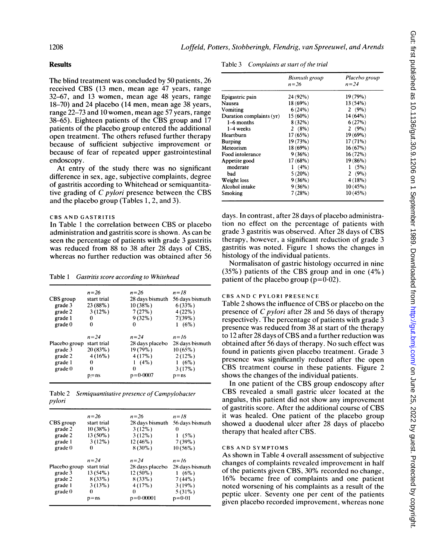### Results

The blind treatment was concluded by 50 patients, 26 received CBS (13 men, mean age 47 years, range 32-67, and 13 women, mean age 48 years, range 18-70) and 24 placebo (14 men, mean age 38 years, range 22-73 and 10 women, mean age 57 years, range 38-65). Eighteen patients of the CBS group and <sup>17</sup> patients of the placebo group entered the additional open treatment. The others refused further therapy because of sufficient subjective improvement or because of fear of repeated upper gastrointestinal endoscopy.

At entry of the study there was no significant difference in sex, age, subjective complaints, degree of gastritis according to Whitehead or semiquantitative grading of C pylori presence between the CBS and the placebo group (Tables 1, 2, and 3).

#### CBS AND GASTRITIS

In Table <sup>1</sup> the correlation between CBS or placebo administration and gastritis score is shown. As can be seen the percentage of patients with grade 3 gastritis was reduced from 88 to 38 after 28 days of CBS, whereas no further reduction was obtained after 56

Table <sup>1</sup> Gastritis score according to Whitehead

| $n = 26$    | $n=26$          | $n = 18$        |
|-------------|-----------------|-----------------|
| start trial | 28 days bismuth | 56 days bismuth |
| 23 (88%)    | 10(38%)         | 6(33%)          |
| $3(12\%)$   | 7(27%)          | 4(22%)          |
| 0           | $9(32\%)$       | 7(39%)          |
| ∩           | 0               | 1(6%)           |
| $n=24$      | $n = 24$        | $n = 16$        |
| start trial | 28 days placebo | 28 days bismuth |
| 20(83%)     | 19 (79%)        | $10(65\%)$      |
| $4(16\%)$   | 4(17%)          | 2(12%)          |
| 0           | $(4\%)$         | 1(6%)           |
| $\Omega$    | $\Omega$        | 3(17%)          |
| $p = ns$    | $p = 0.0007$    | $p = ns$        |
|             | Placebo group   |                 |

|        | Table 2 Semiquantitative presence of Campylobacter |
|--------|----------------------------------------------------|
| pylori |                                                    |

|               | $n=26$      | $n=26$          | $n = 18$        |
|---------------|-------------|-----------------|-----------------|
| CBS group     | start trial | 28 days bismuth | 56 days bismuth |
| grade 2       | $10(38\%)$  | $3(12\%)$       | 0               |
| grade 2       | $13(50\%)$  | $3(12\%)$       | 1(5%)           |
| grade 1       | $3(12\%)$   | $12(46\%)$      | $7(39\%)$       |
| grade 0       | 0           | $8(30\%)$       | $10(56\%)$      |
|               | $n = 24$    | $n = 24$        | $n = 16$        |
| Placebo group | start trial | 28 days placebo | 28 days bismuth |
| grade 3       | $13(54\%)$  | $12(50\%)$      | 1(6%)           |
| grade 2       | $8(33\%)$   | $8(33\%)$       | 7(44%)          |
| grade 1       | 3(13%)      | 4(17%)          | 3(19%)          |
| grade 0       | 0           | $\Omega$        | $5(31\%)$       |
|               | $p = ns$    | $p = 0.00001$   | $p=0.01$        |
|               |             |                 |                 |

| Table 3 | Complaints at start of the trial |
|---------|----------------------------------|
|---------|----------------------------------|

|                          | Bismuth group<br>n=26 | Placebo group<br>$n = 24$ |
|--------------------------|-----------------------|---------------------------|
| Epigastric pain          | 24 (92%)              | 19 (79%)                  |
| Nausea                   | $18(69\%)$            | 13(54%)                   |
| Vomiting                 | 6(24%)                | 2 $(9\%)$                 |
| Duration complaints (yr) | $15(60\%)$            | 14 (64%)                  |
| 1–6 months               | $8(32\%)$             | 6(27%)                    |
| 1–4 weeks                | 2(8%)                 | 2 $(9\%)$                 |
| Heartburn                | 17(65%)               | 19 (69%)                  |
| <b>Burping</b>           | 19 (73%)              | 17(71%)                   |
| Meteorism                | 18 (69%)              | 16(67%)                   |
| Food intolerance         | $9(36\%)$             | 16(72%)                   |
| Appetite good            | 17 (68%)              | 19 (86%)                  |
| moderate                 | $1(4\%)$              | 1(5%)                     |
| bad                      | $5(20\%)$             | 2 $(9%)$                  |
| Weight loss              | 9(36%)                | 4(18%)                    |
| Alcohol intake           | 9(36%)                | 10(45%)                   |
| Smoking                  | 7(28%)                | 10(45%)                   |

days. In contrast, after 28 days of placebo administration no effect on the percentage of patients with grade <sup>3</sup> gastritis was observed. After 28 days of CBS therapy, however, a significant reduction of grade 3 gastritis was noted. Figure <sup>1</sup> shows the changes in histology of the individual patients.

Normalisaton of gastric histology occurred in nine (35%) patients of the CBS group and in one (4%) patient of the placebo group ( $p=0.02$ ).

## CBS AND <sup>C</sup> PYLORI PRESENCE

Table <sup>2</sup> shows the influence of CBS or placebo on the presence of C pylori after 28 and 56 days of therapy respectively. The percentage of patients with grade 3 presence was reduced from <sup>38</sup> at start of the therapy to <sup>12</sup> after 28 days of CBS and <sup>a</sup> further reduction was obtained after 56 days of therapy. No such effect was found in patients given placebo treatment. Grade 3 presence was significantly reduced after the open CBS treatment course in these patients. Figure <sup>2</sup> shows the changes of the individual patients.

In one patient of the CBS group endoscopy after CBS revealed <sup>a</sup> small gastric ulcer located at the angulus, this patient did not show any improvement of gastritis score. After the additional course of CBS it was healed. One patient of the placebo group showed a duodenal ulcer after 28 days of placebo therapy that healed after CBS.

#### CBS AND SYMPTOMS

As shown in Table 4 overall assessment of subjective changes of complaints revealed improvement in half of the patients given CBS, 30% recorded no change, 16% became free of complaints and one patient noted worsening of his complaints as a result of the peptic ulcer. Seventy one per cent of the patients given placebo recorded improvement, whereas none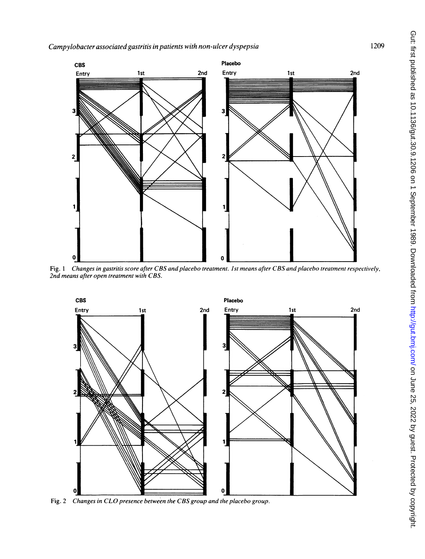

Fig. <sup>1</sup> Changes in gastritis score after CBS and placebo treatment. Ist means after CBS and placebo treatment respectively, 2nd means after open treatment with CBS.



Fig. 2 Changes in CLO presence between the CBS group and the placebo group.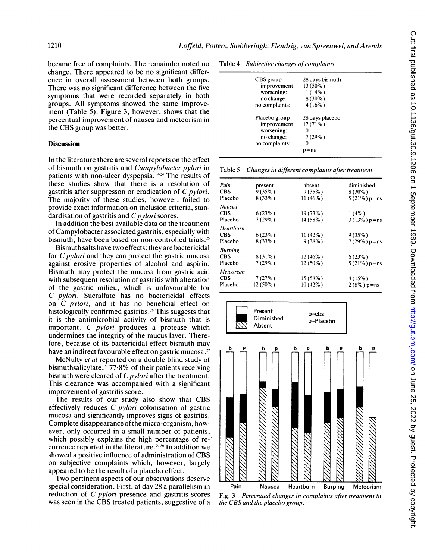became free of complaints. The remainder noted no change. There appeared to be no significant difference in overall assessment between both groups. There was no significant difference between the five symptoms that were recorded separately in both groups. All symptoms showed the same improvement (Table 5). Figure 3, however, shows that the percentual improvement of nausea and meteorism in the CBS group was better.

#### **Discussion**

In the literature there are several reports on the effect of bismuth on gastritis and Campylobacter pylori in patients with non-ulcer dyspepsia. $19-24$  The results of these studies show that there is a resolution of gastritis after suppresson or eradication of C pylori. The majority of these studies, however, failed to provide exact information on inclusion criteria, standardisation of gastritis and  $C$  *pylori* scores.

In addition the best available data on the treatment of Campylobacter associated gastritis, especially with bismuth, have been based on non-controlled trials.<sup>25</sup>

Bismuth salts have two effects: they are bactericidal for C pylori and they can protect the gastric mucosa against erosive properties of alcohol and aspirin. Bismuth may protect the mucosa from gastric acid with subsequent resolution of gastritis with alteration of the gastric milieu, which is unfavourable for C pylori. Sucralfate has no bactericidal effects on C pylori, and it has no beneficial effect on histologically confirmed gastritis.<sup>26</sup> This suggests that it is the antimicrobial activity of bismuth that is important. C pylori produces <sup>a</sup> protease which undermines the integrity of the mucus layer. Therefore, because of its bactericidal effect bismuth may have an indirect favourable effect on gastric mucosa.<sup>27</sup>

McNulty et al reported on a double blind study of bismuthsalicylate, $2^*$  77 $-8\%$  of their patients receiving bismuth were cleared of  $C$  *pylori* after the treatment. This clearance was accompanied with a significant improvement of gastritis score.

The results of our study also show that CBS effectively reduces C pylori colonisation of gastric mucosa and significantly improves signs of gastritis. Complete disappearance of the micro-organism, however, only occurred in a small number of patients, which possibly explains the high percentage of recurrence reported in the literature.<sup>29,30</sup> In addition we showed <sup>a</sup> positive influence of administration of CBS on subjective complaints which, however, largely appeared to be the result of a placebo effect.

Two pertinent aspects of our observations deserve special consideration. First, at day 28 a parallelism in reduction of C pylori presence and gastritis scores was seen in the CBS treated patients, suggestive of <sup>a</sup>

| Table 4 |  |  | Subjective changes of complaints |
|---------|--|--|----------------------------------|
|---------|--|--|----------------------------------|

| CBS group<br>improvement:<br>worsening:<br>no change:<br>no complaints:     | 28 days bismuth<br>13 (50%)<br>1(4%)<br>8 (30%)<br>4(16%) |
|-----------------------------------------------------------------------------|-----------------------------------------------------------|
| Placebo group<br>improvement:<br>worsening:<br>no change:<br>no complaints: | 28 days placebo<br>$17(71\%)$<br>7(29%)                   |

Table 5 Changes in different complaints after treatment

| Pain      | present   | absent     | diminished       |
|-----------|-----------|------------|------------------|
| CBS       | 9(35%)    | 9(35%)     | $8(30\%)$        |
| Placebo   | $8(33\%)$ | $11(46\%)$ | $5(21\%) p = ns$ |
| Nausea    |           |            |                  |
| CBS       | 6(23%)    | $19(73\%)$ | $1(4\%)$         |
| Placebo   | $7(29\%)$ | 14 (58%)   | $3(13\%) p = ns$ |
| Heartburn |           |            |                  |
| CBS       | 6(23%)    | $11(42\%)$ | 9(35%)           |
| Placebo   | $8(33\%)$ | 9(38%)     | $7(29\%) p = ns$ |
| Burping   |           |            |                  |
| CBS       | $8(31\%)$ | $12(46\%)$ | 6(23%)           |
| Placebo   | $7(29\%)$ | $12(50\%)$ | $5(21\%) p = ns$ |
| Meteorism |           |            |                  |
| CBS       | 7(27%)    | 15 (58%)   | 4(15%)           |
| Placebo   | 12 (50%)  | $10(42\%)$ | $2(8\%) p = ns$  |
|           |           |            |                  |



Fig. 3 Percentual changes in complaints after treatment in the CBS and the placebo group.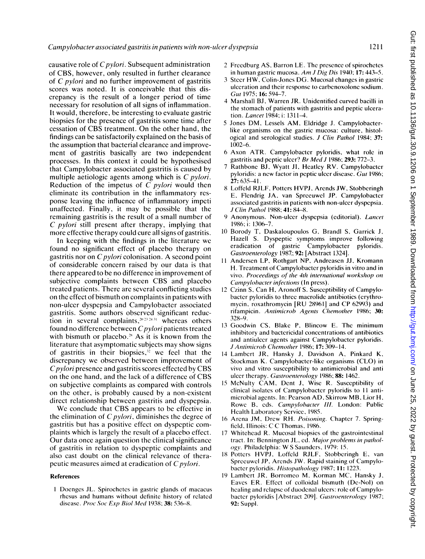causative role of  $C$  *pylori*. Subsequent administration of CBS, however, only resulted in further clearance of C pylori and no further improvement of gastritis scores was noted. It is conceivable that this discrepancy is the result of a longer period of time necessary for resolution of all signs of inflammation. It would, therefore, be interesting to evaluate gastric biopsies for the presence of gastritis some time after cessation of CBS treatment. On the other hand, the findings can be satisfactorily explained on the basis of the assumption that bacterial clearance and improvement of gastritis basically are two independent processes. In this context it could be hypothesised that Campylobacter associated gastritis is caused by multiple aetiologic agents among which is C pylori. Reduction of the impetus of  $\overline{C}$  *pylori* would then eliminate its contribution in the inflammatory response leaving the influence of inflammatory impeti unaffected. Finally, it may be possible that the remaining gastritis is the result of a small number of C pylori still present after therapy, implying that more effective therapy could cure all signs of gastritis.

In keeping with the findings in the literature we found no significant effect of placebo therapy on gastritis nor on  $C$  *pylori* colonisation. A second point of considerable concern raised by our data is that there appeared to be no difference in improvement of subjective complaints between CBS and placebo treated patients. There are several conflicting studies on the effect of bismuth on complaints in patients with non-ulcer dyspepsia and Campylobacter associated gastritis. Some authors observed significant reduction in several complaints,  $20.23.24.31$  whereas others found no difference between  $C$  *pylori* patients treated with bismuth or placebo.<sup>28</sup> As it is known from the literature that asymptomatic subjects may show signs of gastritis in their biopsies, $32$  we feel that the discrepancy we observed between improvement of Cpylori presence and gastritis scores effected by CBS on the one hand, and the lack of <sup>a</sup> difference of CBS on subjective complaints as compared with controls on the other, is probably caused by a non-existent direct relationship between gastritis and dyspepsia.

We conclude that CBS appears to be effective in the elimination of  $C$  *pylori*, diminishes the degree of gastritis but has a positive effect on dyspeptic complaints which is largely the result of a placebo effect. Our data once again question the clinical significance of gastritis in relation to dyspeptic complaints and also cast doubt on the clinical relevance of therapeutic measures aimed at eradication of C *pylori*.

#### References

<sup>1</sup> Docnges JL. Spirochetes in gastric glands of macacus rhcsus and humans without dcfinitc history of rclated disease. Proc Soc Exp Biol Med 1938; 38: 536-8.

- 2 Freedburg AS, Barron LE. The presence of spirochetes in human gastric mucosa. Am J Dig Dis 1940; 17: 443-5.
- <sup>3</sup> Steer HW. Colin-Jones DG. Mucosal changes in gastric ulceration and their response to carbenoxolone sodium. Gut 1975; 16: 594-7.
- 4 Marshall BJ, Warren JR. Unidentified curved bacilli in the stomach of patients with gastritis and peptic ulceration. Lancet 1984; i: 1311-4.
- <sup>5</sup> Jones DM, Lessels AM, Eldridge J. Campylobacterlike organisms on the gastric mucosa: culture, histological and serological studies. J Clin Pathol 1984; 37: 1002-6.
- 6 Axon ATR. Campylobacter pyloridis, what role in gastritis and peptic ulcer? Br Med J 1986; 293: 772-3.
- 7 Rathbone BJ, Wyatt JI, Heatley RV. Campylobacter pyloridis: a new factor in peptic ulcer disease. Gut 1986; 27: 635-41.
- 8 Loffeld RJLF, Potters HVPJ, Arends JW, Stobberingh E, Flendrig JA, van Spreeuwel JP. Campylobacter associated gastritis in patients with non-ulcer dyspepsia. J Clin Pathol 1988; 41: 84-8.
- 9 Anonymous. Non-ulcer dyspepsia (editorial). Lancet 1986; i: 1306-7.
- 10 Borody T, Daskaloupoulos G, Brandl S, Garrick J, Hazell S. Dyspeptic symptoms improve following eradication of gastric Campylobacter pyloridis. Gastroenterology 1987; 92: [Abstract 1324].
- <sup>11</sup> Andersen LP, Rothgart NP, Andreasen JJ, Kromann H. Treatment of Campylobacter pyloridis in vitro and in vivo. Proceedings of the 4th international workshop on Campylobacter infections (In press).
- 12 Czinn S, Can H, Aronoff S. Susceptibility of Campylobacter pyloridis to three macrolide antibiotics (erythromycin, roxathromycin [RU 28961] and CP 62993) and rifampicin. Antimicrob Agents Chemother 1986; 30: 328-9.
- <sup>13</sup> Goodwin CS, Blake P, Blincow E. The minimum inhibitory and bactericidal concentrations of antibiotics and antiulcer agents against Campylobacter pyloridis. J Antimicrob Chemother 1986; 17: 309-14.
- 14 Lambert JR, Hansky J, Davidson A, Pinkard K, Stockman K. Campylobacter-like organisms (CLO) in vivo and vitro susceptibility to antimicrobial and anti ulcer therapy. Gastroenterology 1986; 88: 1462.
- <sup>15</sup> McNulty CAM, Dent J, Wise R. Susceptibility of clinical isolates of Campylobacter pyloridis to <sup>11</sup> antimicrobial agents. In: Pearson AD, Skirrow MB, Lior H, Rowe B, eds. Campylobacter Ill. London: Public Health Laboratory Service, 1985.
- <sup>16</sup> Arena JM, Drew RH. Poisoning. Chapter 7. Springfield, Illinois: C C Thomas, 1986.
- 17 Whitehead R. Mucosal biopsies of the gastrointestinal tract. In: Bennington JL, ed. Major problems in pathology. Philadelphia: W <sup>S</sup> Saunders, 1979: 15.
- 18 Potters HVPJ, Loffeld RJLF, Stobberingh E, van Sprecuwel JP, Arends JW. Rapid staining of Campylobacter pyloridis. Histopathology 1987; 11: 1223.
- <sup>19</sup> Lambert JR, Borromeo M, Korman MC, Hansky J, Eaves ER. Effect of colloidal bismuth (De-Nol) on healing and rclapse of duodenal ulccrs: role of Campylobacter pyloridis [Abstract 209]. Gastroenterology 1987; 92: Suppl.